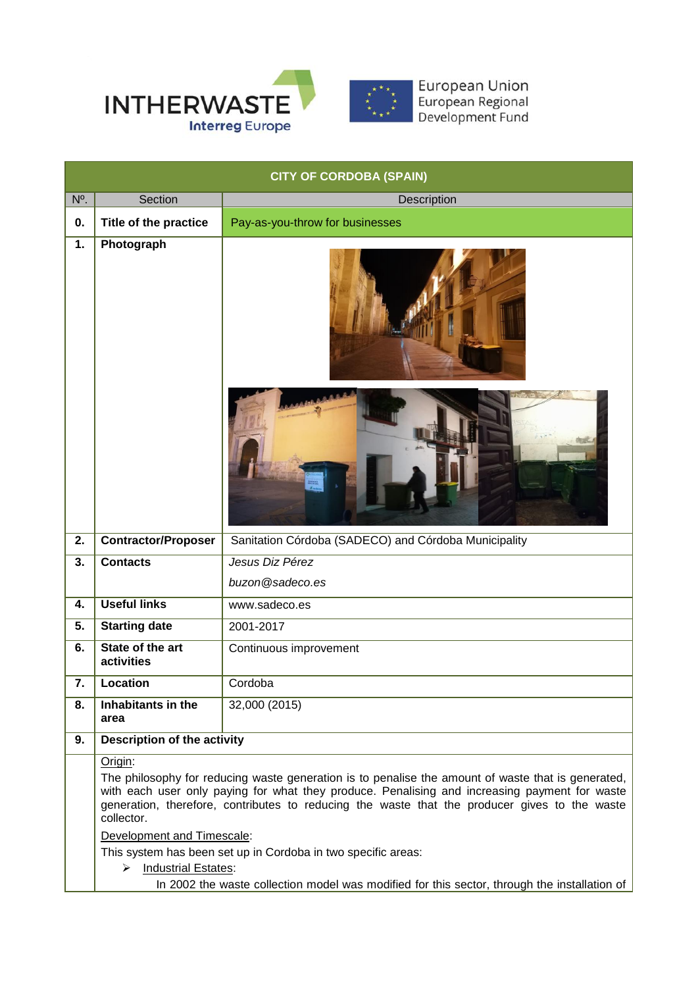

| <b>CITY OF CORDOBA (SPAIN)</b> |                                                                                                                                                                                                                                                                                                                    |                                                      |  |  |  |
|--------------------------------|--------------------------------------------------------------------------------------------------------------------------------------------------------------------------------------------------------------------------------------------------------------------------------------------------------------------|------------------------------------------------------|--|--|--|
| N <sup>o</sup> .               | Section                                                                                                                                                                                                                                                                                                            | Description                                          |  |  |  |
| 0.                             | Title of the practice                                                                                                                                                                                                                                                                                              | Pay-as-you-throw for businesses                      |  |  |  |
| 1.                             | Photograph                                                                                                                                                                                                                                                                                                         |                                                      |  |  |  |
|                                |                                                                                                                                                                                                                                                                                                                    |                                                      |  |  |  |
| 2.                             | <b>Contractor/Proposer</b>                                                                                                                                                                                                                                                                                         | Sanitation Córdoba (SADECO) and Córdoba Municipality |  |  |  |
| 3.                             | <b>Contacts</b>                                                                                                                                                                                                                                                                                                    | Jesus Diz Pérez                                      |  |  |  |
|                                |                                                                                                                                                                                                                                                                                                                    | buzon@sadeco.es                                      |  |  |  |
| 4.                             | <b>Useful links</b>                                                                                                                                                                                                                                                                                                | www.sadeco.es                                        |  |  |  |
| 5.                             | <b>Starting date</b>                                                                                                                                                                                                                                                                                               | 2001-2017                                            |  |  |  |
| 6.                             | State of the art<br>activities                                                                                                                                                                                                                                                                                     | Continuous improvement                               |  |  |  |
| 7.                             | Location                                                                                                                                                                                                                                                                                                           | Cordoba                                              |  |  |  |
| 8.                             | Inhabitants in the<br>area                                                                                                                                                                                                                                                                                         | 32,000 (2015)                                        |  |  |  |
| 9.                             |                                                                                                                                                                                                                                                                                                                    | <b>Description of the activity</b>                   |  |  |  |
|                                | Origin:                                                                                                                                                                                                                                                                                                            |                                                      |  |  |  |
|                                | The philosophy for reducing waste generation is to penalise the amount of waste that is generated,<br>with each user only paying for what they produce. Penalising and increasing payment for waste<br>generation, therefore, contributes to reducing the waste that the producer gives to the waste<br>collector. |                                                      |  |  |  |
|                                | Development and Timescale:                                                                                                                                                                                                                                                                                         |                                                      |  |  |  |
|                                | This system has been set up in Cordoba in two specific areas:<br><b>Industrial Estates:</b><br>$\blacktriangleright$                                                                                                                                                                                               |                                                      |  |  |  |
|                                | In 2002 the waste collection model was modified for this sector, through the installation of                                                                                                                                                                                                                       |                                                      |  |  |  |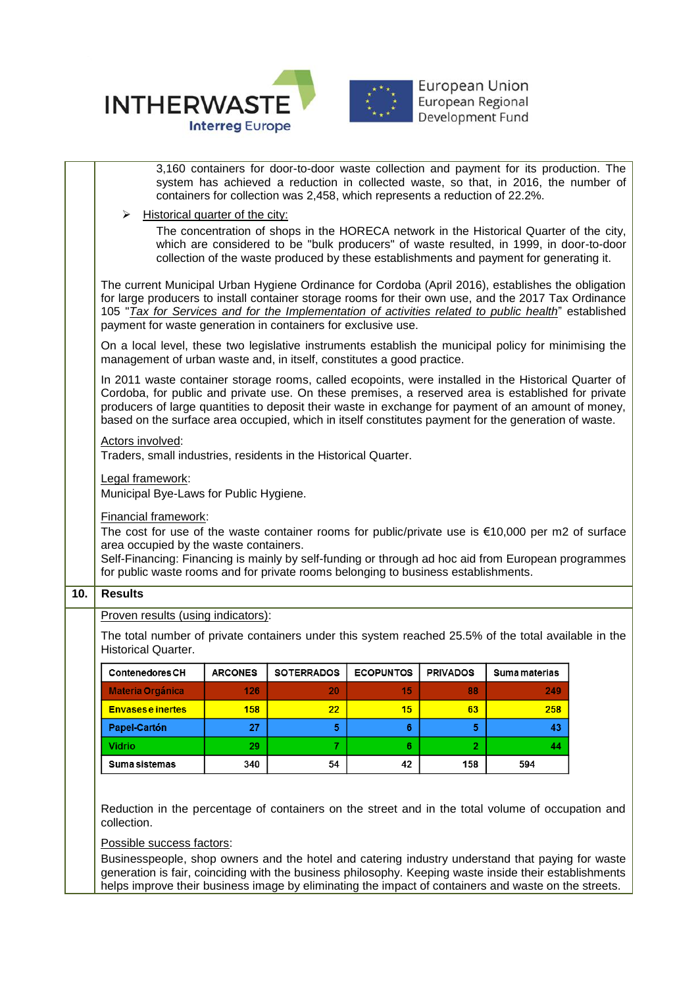

|     | 3,160 containers for door-to-door waste collection and payment for its production. The<br>system has achieved a reduction in collected waste, so that, in 2016, the number of<br>containers for collection was 2,458, which represents a reduction of 22.2%.                                                                                                                                                              |                                                                                                                                                                                                            |                   |                  |                 |               |  |  |
|-----|---------------------------------------------------------------------------------------------------------------------------------------------------------------------------------------------------------------------------------------------------------------------------------------------------------------------------------------------------------------------------------------------------------------------------|------------------------------------------------------------------------------------------------------------------------------------------------------------------------------------------------------------|-------------------|------------------|-----------------|---------------|--|--|
|     | Historical quarter of the city:<br>➤<br>The concentration of shops in the HORECA network in the Historical Quarter of the city,<br>which are considered to be "bulk producers" of waste resulted, in 1999, in door-to-door<br>collection of the waste produced by these establishments and payment for generating it.                                                                                                     |                                                                                                                                                                                                            |                   |                  |                 |               |  |  |
|     | The current Municipal Urban Hygiene Ordinance for Cordoba (April 2016), establishes the obligation<br>for large producers to install container storage rooms for their own use, and the 2017 Tax Ordinance<br>105 "Tax for Services and for the Implementation of activities related to public health" established<br>payment for waste generation in containers for exclusive use.                                       |                                                                                                                                                                                                            |                   |                  |                 |               |  |  |
|     | On a local level, these two legislative instruments establish the municipal policy for minimising the<br>management of urban waste and, in itself, constitutes a good practice.                                                                                                                                                                                                                                           |                                                                                                                                                                                                            |                   |                  |                 |               |  |  |
|     | In 2011 waste container storage rooms, called ecopoints, were installed in the Historical Quarter of<br>Cordoba, for public and private use. On these premises, a reserved area is established for private<br>producers of large quantities to deposit their waste in exchange for payment of an amount of money,<br>based on the surface area occupied, which in itself constitutes payment for the generation of waste. |                                                                                                                                                                                                            |                   |                  |                 |               |  |  |
|     | Actors involved:<br>Traders, small industries, residents in the Historical Quarter.                                                                                                                                                                                                                                                                                                                                       |                                                                                                                                                                                                            |                   |                  |                 |               |  |  |
|     | Legal framework:<br>Municipal Bye-Laws for Public Hygiene.                                                                                                                                                                                                                                                                                                                                                                |                                                                                                                                                                                                            |                   |                  |                 |               |  |  |
|     | <b>Financial framework:</b><br>The cost for use of the waste container rooms for public/private use is $€10,000$ per m2 of surface<br>area occupied by the waste containers.<br>Self-Financing: Financing is mainly by self-funding or through ad hoc aid from European programmes<br>for public waste rooms and for private rooms belonging to business establishments.                                                  |                                                                                                                                                                                                            |                   |                  |                 |               |  |  |
| 10. | <b>Results</b>                                                                                                                                                                                                                                                                                                                                                                                                            |                                                                                                                                                                                                            |                   |                  |                 |               |  |  |
|     |                                                                                                                                                                                                                                                                                                                                                                                                                           | Proven results (using indicators):                                                                                                                                                                         |                   |                  |                 |               |  |  |
|     | <b>Historical Quarter.</b>                                                                                                                                                                                                                                                                                                                                                                                                | The total number of private containers under this system reached 25.5% of the total available in the                                                                                                       |                   |                  |                 |               |  |  |
|     | <b>Contenedores CH</b>                                                                                                                                                                                                                                                                                                                                                                                                    | <b>ARCONES</b>                                                                                                                                                                                             | <b>SOTERRADOS</b> | <b>ECOPUNTOS</b> | <b>PRIVADOS</b> | Suma materias |  |  |
|     | <u> Materia Organica</u>                                                                                                                                                                                                                                                                                                                                                                                                  | 140.                                                                                                                                                                                                       | ΖU                |                  | 88              | 249           |  |  |
|     | <b>Envasese inertes</b>                                                                                                                                                                                                                                                                                                                                                                                                   | 158                                                                                                                                                                                                        | 22                | 15               | 63              | 258           |  |  |
|     | <b>Papel-Cartón</b>                                                                                                                                                                                                                                                                                                                                                                                                       | 27                                                                                                                                                                                                         | 5                 | 6                | 5.              | 43            |  |  |
|     | Vidrio                                                                                                                                                                                                                                                                                                                                                                                                                    | 29                                                                                                                                                                                                         | 7.                | 6                | $\mathbf{2}$    | 44            |  |  |
|     | Suma sistemas                                                                                                                                                                                                                                                                                                                                                                                                             | 340                                                                                                                                                                                                        | 54                | 42               | 158             | 594           |  |  |
|     | Reduction in the percentage of containers on the street and in the total volume of occupation and<br>collection.                                                                                                                                                                                                                                                                                                          |                                                                                                                                                                                                            |                   |                  |                 |               |  |  |
|     |                                                                                                                                                                                                                                                                                                                                                                                                                           | Possible success factors:                                                                                                                                                                                  |                   |                  |                 |               |  |  |
|     |                                                                                                                                                                                                                                                                                                                                                                                                                           | Businesspeople, shop owners and the hotel and catering industry understand that paying for waste<br>generation is fair, coinciding with the business philosophy. Keeping waste inside their establishments |                   |                  |                 |               |  |  |
|     | helps improve their business image by eliminating the impact of containers and waste on the streets.                                                                                                                                                                                                                                                                                                                      |                                                                                                                                                                                                            |                   |                  |                 |               |  |  |